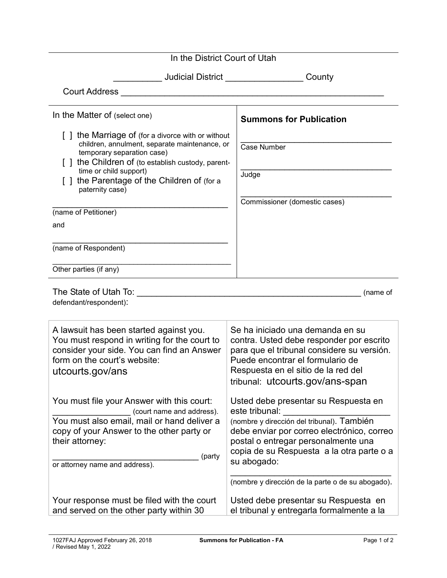| In the District Court of Utah                                                                                                                                                                                                                                                     |                                                                                                                                                                                                                                                                                                            |
|-----------------------------------------------------------------------------------------------------------------------------------------------------------------------------------------------------------------------------------------------------------------------------------|------------------------------------------------------------------------------------------------------------------------------------------------------------------------------------------------------------------------------------------------------------------------------------------------------------|
|                                                                                                                                                                                                                                                                                   |                                                                                                                                                                                                                                                                                                            |
| Judicial District __________________<br>County                                                                                                                                                                                                                                    |                                                                                                                                                                                                                                                                                                            |
|                                                                                                                                                                                                                                                                                   |                                                                                                                                                                                                                                                                                                            |
| In the Matter of (select one)                                                                                                                                                                                                                                                     | <b>Summons for Publication</b>                                                                                                                                                                                                                                                                             |
| [] the Marriage of (for a divorce with or without<br>children, annulment, separate maintenance, or<br>temporary separation case)<br>[] the Children of (to establish custody, parent-<br>time or child support)<br>[ ] the Parentage of the Children of (for a<br>paternity case) | <b>Case Number</b><br>Judge                                                                                                                                                                                                                                                                                |
| (name of Petitioner)<br>and<br>(name of Respondent)                                                                                                                                                                                                                               | Commissioner (domestic cases)                                                                                                                                                                                                                                                                              |
| Other parties (if any)                                                                                                                                                                                                                                                            |                                                                                                                                                                                                                                                                                                            |
| The State of Utah To:<br>(name of<br><u> 1989 - Johann Barbara, martxa alemaniar a</u><br>defendant/respondent):                                                                                                                                                                  |                                                                                                                                                                                                                                                                                                            |
| A lawsuit has been started against you.<br>You must respond in writing for the court to<br>consider your side. You can find an Answer<br>form on the court's website:<br>utcourts.gov/ans                                                                                         | Se ha iniciado una demanda en su<br>contra. Usted debe responder por escrito<br>para que el tribunal considere su versión.<br>Puede encontrar el formulario de<br>Respuesta en el sitio de la red del<br>tribunal: utcourts.gov/ans-span                                                                   |
| You must file your Answer with this court:<br>(court name and address).<br>You must also email, mail or hand deliver a<br>copy of your Answer to the other party or<br>their attorney:<br>(party<br>or attorney name and address).                                                | Usted debe presentar su Respuesta en<br>este tribunal:<br>(nombre y dirección del tribunal). También<br>debe enviar por correo electrónico, correo<br>postal o entregar personalmente una<br>copia de su Respuesta a la otra parte o a<br>su abogado:<br>(nombre y dirección de la parte o de su abogado). |
| Your response must be filed with the court<br>and served on the other party within 30                                                                                                                                                                                             | Usted debe presentar su Respuesta en<br>el tribunal y entregarla formalmente a la                                                                                                                                                                                                                          |